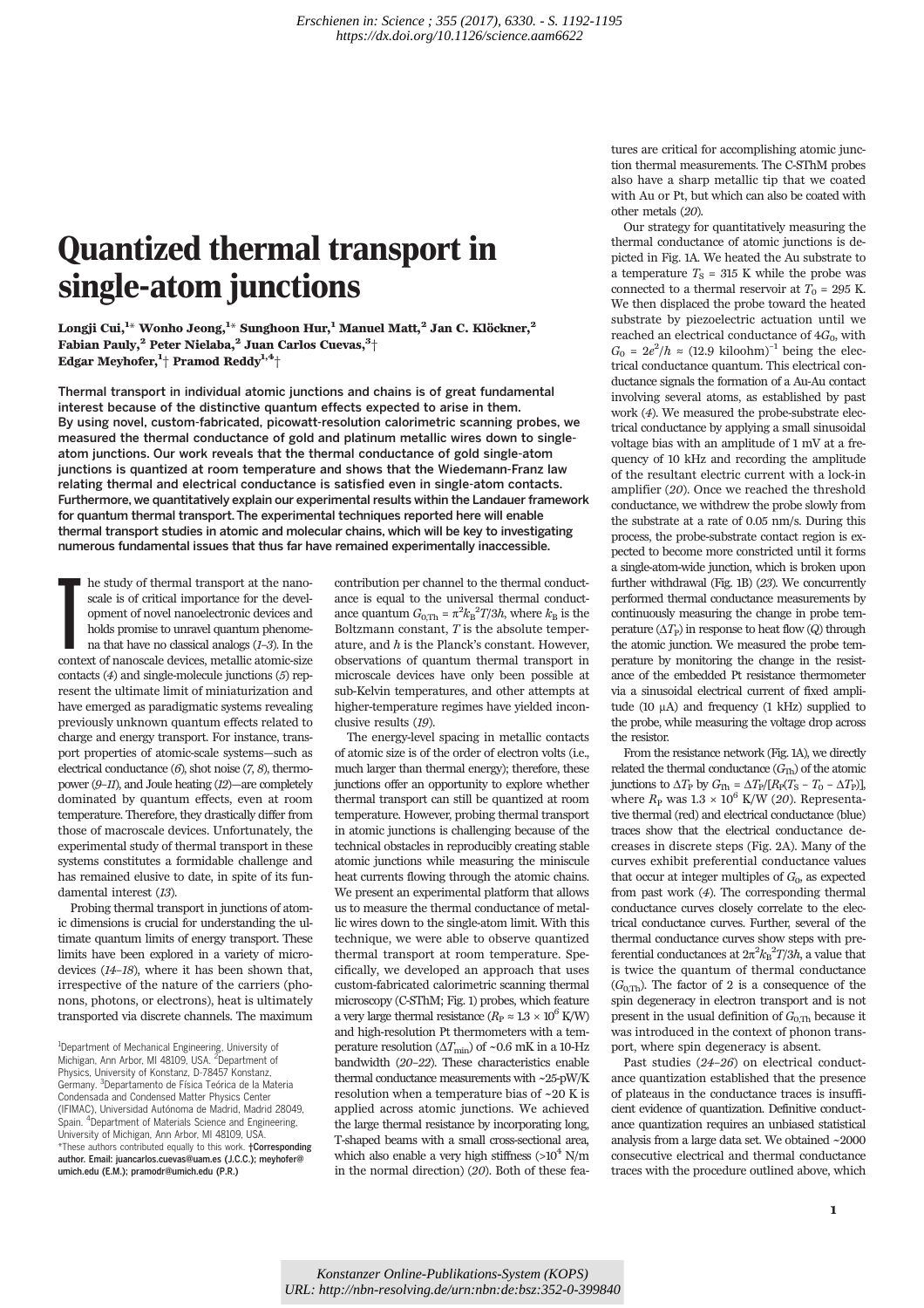## Quantized thermal transport in single-atom junctions

Longji Cui, $^{\rm 1\ast}$  Wonho Jeong, $^{\rm 1\ast}$  Sunghoon Hur, $^{\rm 1}$  Manuel Matt, $^{\rm 2}$  Jan C. Klöckner, $^{\rm 2}$ Fabian Pauly, $^2$  Peter Nielaba, $^2$  Juan Carlos Cuevas, $^3\pm$ Edgar Meyhofer, $^{1+}_{1}$  Pramod Reddy $^{1,4+}_{-}$ 

Thermal transport in individual atomic junctions and chains is of great fundamental interest because of the distinctive quantum effects expected to arise in them. By using novel, custom-fabricated, picowatt-resolution calorimetric scanning probes, we measured the thermal conductance of gold and platinum metallic wires down to singleatom junctions. Our work reveals that the thermal conductance of gold single-atom junctions is quantized at room temperature and shows that the Wiedemann-Franz law relating thermal and electrical conductance is satisfied even in single-atom contacts. Furthermore, we quantitatively explain our experimental results within the Landauer framework for quantum thermal transport. The experimental techniques reported here will enable thermal transport studies in atomic and molecular chains, which will be key to investigating numerous fundamental issues that thus far have remained experimentally inaccessible.

The study of thermal transport at the nanoscale is of critical importance for the development of novel nanoelectronic devices and holds promise to unravel quantum phenomena that have no classical analogs  $(1-3)$ . In the c he study of thermal transport at the nanoscale is of critical importance for the development of novel nanoelectronic devices and holds promise to unravel quantum phenomena that have no classical analogs  $(1-3)$ . In the contacts (4) and single-molecule junctions (5) represent the ultimate limit of miniaturization and have emerged as paradigmatic systems revealing previously unknown quantum effects related to charge and energy transport. For instance, transport properties of atomic-scale systems—such as electrical conductance  $(6)$ , shot noise  $(7, 8)$ , thermopower (9–11), and Joule heating (12)—are completely dominated by quantum effects, even at room temperature. Therefore, they drastically differ from those of macroscale devices. Unfortunately, the experimental study of thermal transport in these systems constitutes a formidable challenge and has remained elusive to date, in spite of its fundamental interest (13).

Probing thermal transport in junctions of atomic dimensions is crucial for understanding the ultimate quantum limits of energy transport. These limits have been explored in a variety of microdevices (14–18), where it has been shown that, irrespective of the nature of the carriers (phonons, photons, or electrons), heat is ultimately transported via discrete channels. The maximum

<sup>1</sup>Department of Mechanical Engineering, University of Michigan, Ann Arbor, MI 48109, USA. <sup>2</sup>Department of Physics, University of Konstanz, D-78457 Konstanz, Germany. <sup>3</sup>Departamento de Física Teórica de la Materia Condensada and Condensed Matter Physics Center (IFIMAC), Universidad Autónoma de Madrid, Madrid 28049, Spain. <sup>4</sup> Department of Materials Science and Engineering, University of Michigan, Ann Arbor, MI 48109, USA. \*These authors contributed equally to this work. †Corresponding author. Email: juancarlos.cuevas@uam.es (J.C.C.); meyhofer@ umich.edu (E.M.); pramodr@umich.edu (P.R.)

contribution per channel to the thermal conductance is equal to the universal thermal conductance quantum  $G_{0,\text{Th}} = \pi^2 k_\text{B}^2 / 3h$ , where  $k_\text{B}$  is the Boltzmann constant,  $T$  is the absolute temperature, and  $h$  is the Planck's constant. However, observations of quantum thermal transport in microscale devices have only been possible at sub-Kelvin temperatures, and other attempts at higher-temperature regimes have yielded inconclusive results (19).

The energy-level spacing in metallic contacts of atomic size is of the order of electron volts (i.e., much larger than thermal energy); therefore, these junctions offer an opportunity to explore whether thermal transport can still be quantized at room temperature. However, probing thermal transport in atomic junctions is challenging because of the technical obstacles in reproducibly creating stable atomic junctions while measuring the miniscule heat currents flowing through the atomic chains. We present an experimental platform that allows us to measure the thermal conductance of metallic wires down to the single-atom limit. With this technique, we were able to observe quantized thermal transport at room temperature. Specifically, we developed an approach that uses custom-fabricated calorimetric scanning thermal microscopy (C-SThM; Fig. 1) probes, which feature a very large thermal resistance ( $R_P \approx 1.3 \times 10^6$  K/W) and high-resolution Pt thermometers with a temperature resolution ( $\Delta T_{\rm min}$ ) of ~0.6 mK in a 10-Hz bandwidth (20–22). These characteristics enable thermal conductance measurements with  $\sim$ 25-pW/K resolution when a temperature bias of ~20 K is applied across atomic junctions. We achieved the large thermal resistance by incorporating long, T-shaped beams with a small cross-sectional area, which also enable a very high stiffness  $(>10^4$  N/m in the normal direction) (20). Both of these features are critical for accomplishing atomic junction thermal measurements. The C-SThM probes also have a sharp metallic tip that we coated with Au or Pt, but which can also be coated with other metals (20).

Our strategy for quantitatively measuring the thermal conductance of atomic junctions is depicted in Fig. 1A. We heated the Au substrate to a temperature  $T<sub>S</sub>$  = 315 K while the probe was connected to a thermal reservoir at  $T_0$  = 295 K. We then displaced the probe toward the heated substrate by piezoelectric actuation until we reached an electrical conductance of  $4G<sub>0</sub>$ , with  $G_0 = 2e^2/h \approx (12.9 \text{ kiloohm})^{-1}$  being the electrical conductance quantum. This electrical conductance signals the formation of a Au-Au contact involving several atoms, as established by past work (4). We measured the probe-substrate electrical conductance by applying a small sinusoidal voltage bias with an amplitude of 1 mV at a frequency of 10 kHz and recording the amplitude of the resultant electric current with a lock-in amplifier (20). Once we reached the threshold conductance, we withdrew the probe slowly from the substrate at a rate of 0.05 nm/s. During this process, the probe-substrate contact region is expected to become more constricted until it forms a single-atom-wide junction, which is broken upon further withdrawal (Fig. 1B) (23). We concurrently performed thermal conductance measurements by continuously measuring the change in probe temperature  $(\Delta T_{\rm P})$  in response to heat flow (Q) through the atomic junction. We measured the probe temperature by monitoring the change in the resistance of the embedded Pt resistance thermometer via a sinusoidal electrical current of fixed amplitude (10  $\mu$ A) and frequency (1 kHz) supplied to the probe, while measuring the voltage drop across the resistor.

From the resistance network (Fig. 1A), we directly related the thermal conductance  $(G<sub>Th</sub>)$  of the atomic junctions to  $\Delta T_{\rm P}$  by  $G_{\rm Th} = \Delta T_{\rm P}/[R_{\rm P}(T_{\rm S} - T_{\rm O} - \Delta T_{\rm P})]$ , where  $R_P$  was  $1.3 \times 10^6$  K/W (20). Representative thermal (red) and electrical conductance (blue) traces show that the electrical conductance decreases in discrete steps (Fig. 2A). Many of the curves exhibit preferential conductance values that occur at integer multiples of  $G<sub>0</sub>$ , as expected from past work (4). The corresponding thermal conductance curves closely correlate to the electrical conductance curves. Further, several of the thermal conductance curves show steps with preferential conductances at  $2\pi^2 k_B^2 T/3h$ , a value that is twice the quantum of thermal conductance  $(G<sub>0.Th</sub>)$ . The factor of 2 is a consequence of the spin degeneracy in electron transport and is not present in the usual definition of  $G_{0,\text{Th}}$  because it was introduced in the context of phonon transport, where spin degeneracy is absent.

Past studies (24–26) on electrical conductance quantization established that the presence of plateaus in the conductance traces is insufficient evidence of quantization. Definitive conductance quantization requires an unbiased statistical analysis from a large data set. We obtained ~2000 consecutive electrical and thermal conductance traces with the procedure outlined above, which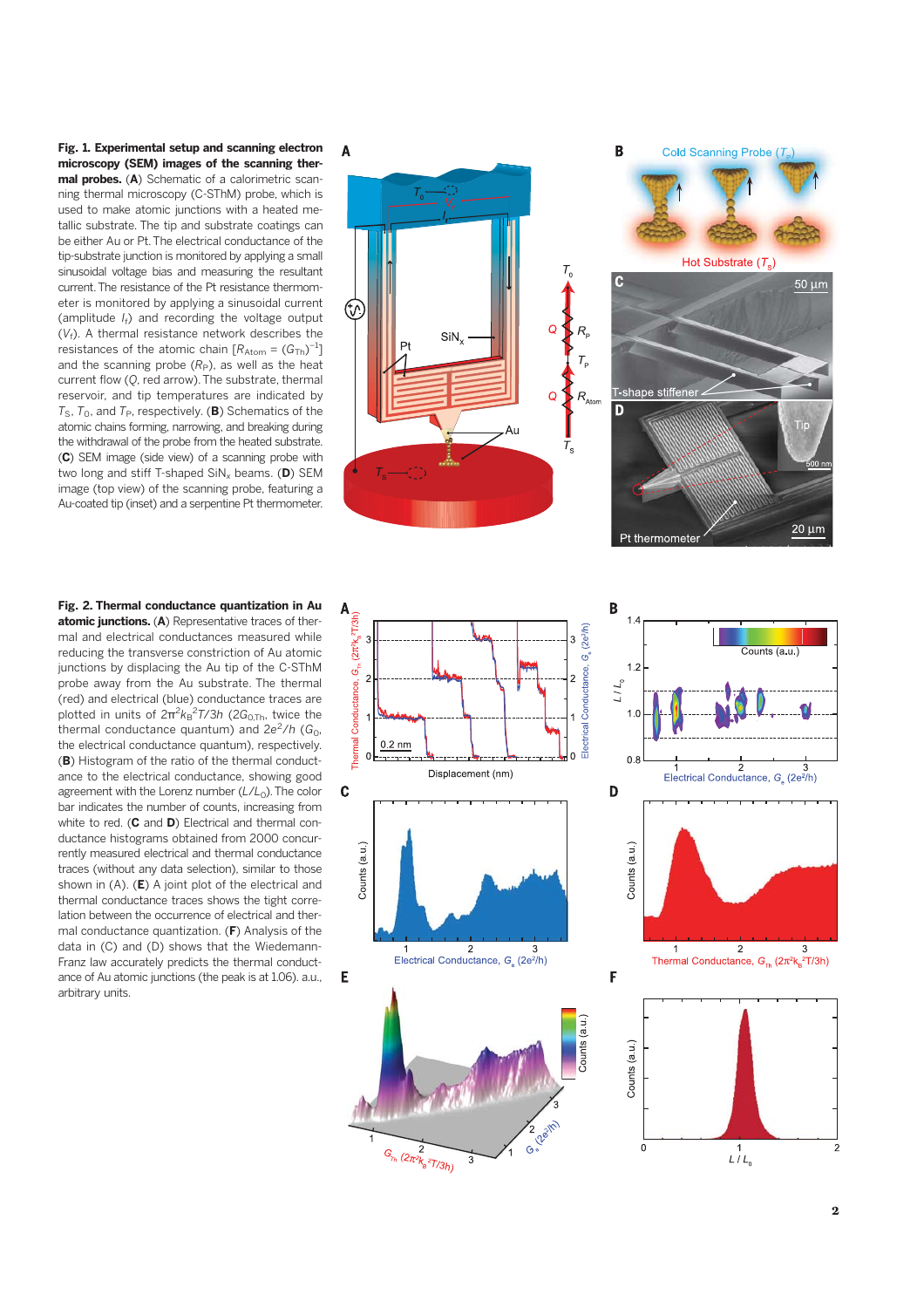Fig. 1. Experimental setup and scanning electron microscopy (SEM) images of the scanning thermal probes. (A) Schematic of a calorimetric scanning thermal microscopy (C-SThM) probe, which is used to make atomic junctions with a heated metallic substrate. The tip and substrate coatings can be either Au or Pt. The electrical conductance of the tip-substrate junction is monitored by applying a small sinusoidal voltage bias and measuring the resultant current. The resistance of the Pt resistance thermometer is monitored by applying a sinusoidal current (amplitude  $I_f$ ) and recording the voltage output  $(V_f)$ . A thermal resistance network describes the resistances of the atomic chain  $[R_{\rm Atom} = (G_{\rm Th})^{-1}]$ and the scanning probe  $(R_P)$ , as well as the heat current flow ( Q, red arrow). The substrate, thermal reservoir, and tip temperatures are indicated by  $T_S$ ,  $T_O$ , and  $T_P$ , respectively. (B) Schematics of the atomic chains forming, narrowing, and breaking during the withdrawal of the probe from the heated substrate. (C) SEM image (side view) of a scanning probe with two long and stiff T-shaped SiN $_{\mathsf{x}}$  beams. (D) SEM image (top view) of the scanning probe, featuring a Au-coated tip (inset) and a serpentine Pt thermometer.

 $\mathbf{A}$ 

Fig. 2. Thermal conductance quantization in Au atomic junctions. (A) Representative traces of thermal and electrical conductances measured while reducing the transverse constriction of Au atomic junctions by displacing the Au tip of the C-SThM probe away from the Au substrate. The thermal (red) and electrical (blue) conductance traces are plotted in units of  $2\pi^2 k_B^2 / 7/3h$  (2 $G_{0,\text{Th}}$ , twice the thermal conductance quantum) and  $2e^2/h$  (G<sub>0</sub>, the electrical conductance quantum), respectively. (B) Histogram of the ratio of the thermal conductance to the electrical conductance, showing good agreement with the Lorenz number (L/L<sub>0</sub>). The color bar indicates the number of counts, increasing from white to red. (**C** and **D**) Electrical and thermal conductance histograms obtained from 2000 concurrently measured electrical and thermal conductance traces (without any data selection), similar to those shown in  $(A)$ . (E) A joint plot of the electrical and thermal conductance traces shows the tight correlation between the occurrence of electrical and thermal conductance quantization. (F) Analysis of the data in (C) and (D) shows that the Wiedemann-Franz law accurately predicts the thermal conductance of Au atomic junctions (the peak is at 1.06). a.u., arbitrary units.





 $1.2$ 





 $Counts(a.u.)$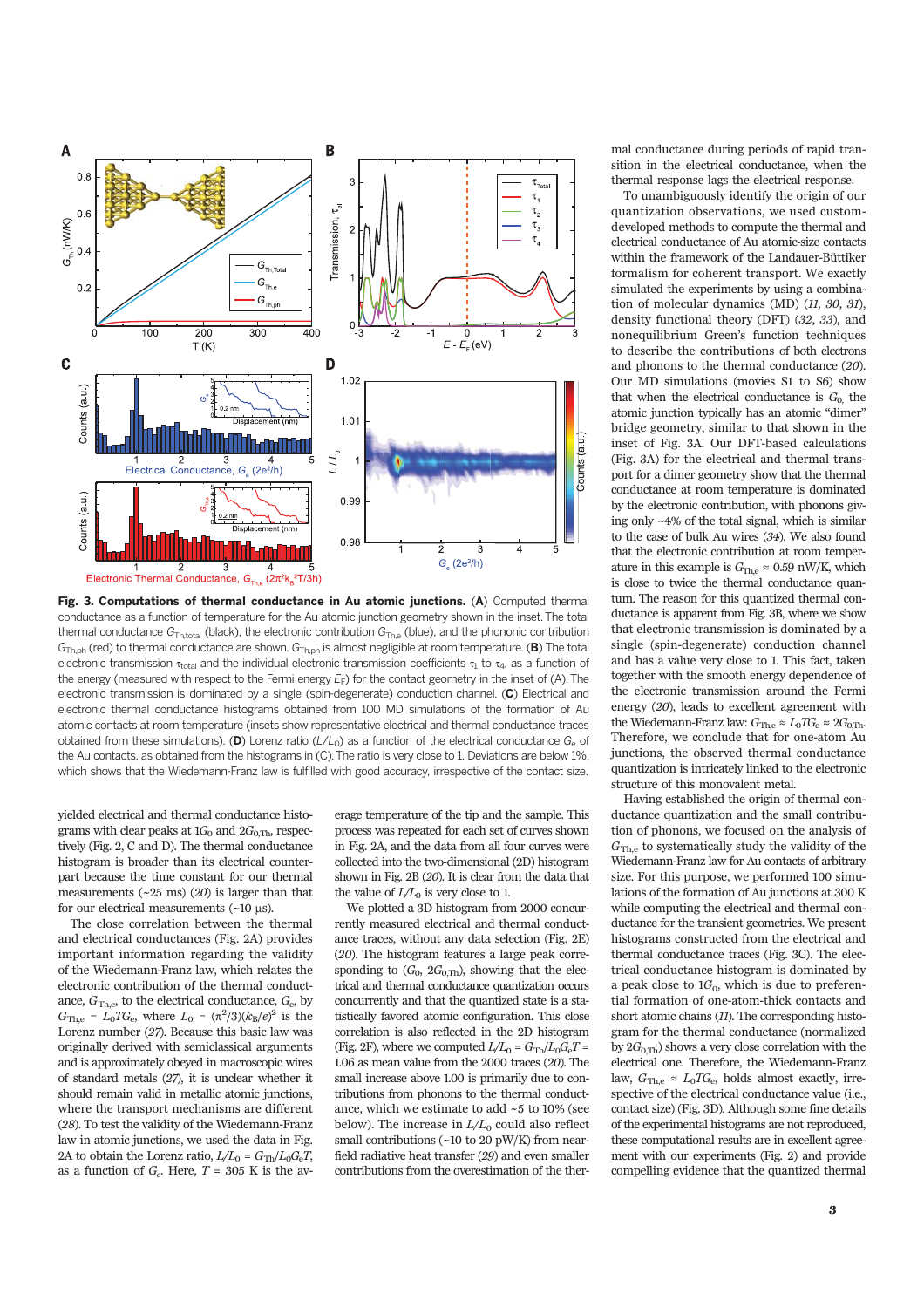

Fig. 3. Computations of thermal conductance in Au atomic junctions. (A) Computed thermal conductance as a function of temperature for the Au atomic junction geometry shown in the inset. The total thermal conductance  $G_{\text{Thtotal}}$  (black), the electronic contribution  $G_{\text{The}}$  (blue), and the phononic contribution  $G_{Th,ph}$  (red) to thermal conductance are shown.  $G_{Th,ph}$  is almost negligible at room temperature. (**B**) The total electronic transmission  $\tau_{total}$  and the individual electronic transmission coefficients  $\tau_1$  to  $\tau_4$ , as a function of the energy (measured with respect to the Fermi energy  $E_F$ ) for the contact geometry in the inset of (A). The electronic transmission is dominated by a single (spin-degenerate) conduction channel. (C) Electrical and electronic thermal conductance histograms obtained from 100 MD simulations of the formation of Au atomic contacts at room temperature (insets show representative electrical and thermal conductance traces obtained from these simulations). (D) Lorenz ratio ( $L/L<sub>O</sub>$ ) as a function of the electrical conductance  $G<sub>e</sub>$  of the Au contacts, as obtained from the histograms in (C).The ratio is very close to 1. Deviations are below 1%, which shows that the Wiedemann-Franz law is fulfilled with good accuracy, irrespective of the contact size.

yielded electrical and thermal conductance histograms with clear peaks at  $1G_0$  and  $2G_{0,\text{Th}}$ , respectively (Fig. 2, C and D). The thermal conductance histogram is broader than its electrical counterpart because the time constant for our thermal measurements  $(-25 \text{ ms})$   $(20)$  is larger than that for our electrical measurements  $($ ~10  $\mu$ s).

The close correlation between the thermal and electrical conductances (Fig. 2A) provides important information regarding the validity of the Wiedemann-Franz law, which relates the electronic contribution of the thermal conductance,  $G_{\text{The}}$ , to the electrical conductance,  $G_{\text{e}}$ , by  $G_{\text{Th,e}} = L_0 T G_e$ , where  $L_0 = (\pi^2/3)(k_B/e)^2$  is the Lorenz number (27). Because this basic law was originally derived with semiclassical arguments and is approximately obeyed in macroscopic wires of standard metals (27), it is unclear whether it should remain valid in metallic atomic junctions, where the transport mechanisms are different (28). To test the validity of the Wiedemann-Franz law in atomic junctions, we used the data in Fig. 2A to obtain the Lorenz ratio,  $L/L_0 = G_{\text{Th}}/L_0 G_{\text{e}} T$ , as a function of  $G_e$ . Here,  $T = 305$  K is the average temperature of the tip and the sample. This process was repeated for each set of curves shown in Fig. 2A, and the data from all four curves were collected into the two-dimensional (2D) histogram shown in Fig. 2B (20). It is clear from the data that the value of  $L/L_0$  is very close to 1.

We plotted a 3D histogram from 2000 concurrently measured electrical and thermal conductance traces, without any data selection (Fig. 2E) (20). The histogram features a large peak corresponding to  $(G_0, 2G_{0,\text{Th}})$ , showing that the electrical and thermal conductance quantization occurs concurrently and that the quantized state is a statistically favored atomic configuration. This close correlation is also reflected in the 2D histogram (Fig. 2F), where we computed  $L/L_0 = G_{\text{Th}}/L_0 G_{\text{e}} T =$ 1.06 as mean value from the 2000 traces (20). The small increase above 1.00 is primarily due to contributions from phonons to the thermal conductance, which we estimate to add ~5 to 10% (see below). The increase in  $L/L_0$  could also reflect small contributions (~10 to 20 pW/K) from nearfield radiative heat transfer (29) and even smaller contributions from the overestimation of the thermal conductance during periods of rapid transition in the electrical conductance, when the thermal response lags the electrical response.

To unambiguously identify the origin of our quantization observations, we used customdeveloped methods to compute the thermal and electrical conductance of Au atomic-size contacts within the framework of the Landauer-Büttiker formalism for coherent transport. We exactly simulated the experiments by using a combination of molecular dynamics (MD) (11, 30, 31), density functional theory (DFT) (32, 33), and nonequilibrium Green's function techniques to describe the contributions of both electrons and phonons to the thermal conductance (20). Our MD simulations (movies S1 to S6) show that when the electrical conductance is  $G_0$ , the atomic junction typically has an atomic "dimer" bridge geometry, similar to that shown in the inset of Fig. 3A. Our DFT-based calculations (Fig. 3A) for the electrical and thermal transport for a dimer geometry show that the thermal conductance at room temperature is dominated by the electronic contribution, with phonons giving only ~4% of the total signal, which is similar to the case of bulk Au wires (34). We also found that the electronic contribution at room temperature in this example is  $G_{\text{The}} \approx 0.59 \text{ nW/K}$ , which is close to twice the thermal conductance quantum. The reason for this quantized thermal conductance is apparent from Fig. 3B, where we show that electronic transmission is dominated by a single (spin-degenerate) conduction channel and has a value very close to 1. This fact, taken together with the smooth energy dependence of the electronic transmission around the Fermi energy (20), leads to excellent agreement with the Wiedemann-Franz law:  $G_{\text{The}} \approx L_0 T G_e \approx 2 G_{0,\text{The}}$ . Therefore, we conclude that for one-atom Au junctions, the observed thermal conductance quantization is intricately linked to the electronic structure of this monovalent metal.

Having established the origin of thermal conductance quantization and the small contribution of phonons, we focused on the analysis of  $G_{\text{The}}$  to systematically study the validity of the Wiedemann-Franz law for Au contacts of arbitrary size. For this purpose, we performed 100 simulations of the formation of Au junctions at 300 K while computing the electrical and thermal conductance for the transient geometries. We present histograms constructed from the electrical and thermal conductance traces (Fig. 3C). The electrical conductance histogram is dominated by a peak close to  $1G_0$ , which is due to preferential formation of one-atom-thick contacts and short atomic chains (11). The corresponding histogram for the thermal conductance (normalized by  $2G_{0,\text{Th}}$ ) shows a very close correlation with the electrical one. Therefore, the Wiedemann-Franz law,  $G_{\text{The}} \approx L_0 T G_e$ , holds almost exactly, irrespective of the electrical conductance value (i.e., contact size) (Fig. 3D). Although some fine details of the experimental histograms are not reproduced, these computational results are in excellent agreement with our experiments (Fig. 2) and provide compelling evidence that the quantized thermal